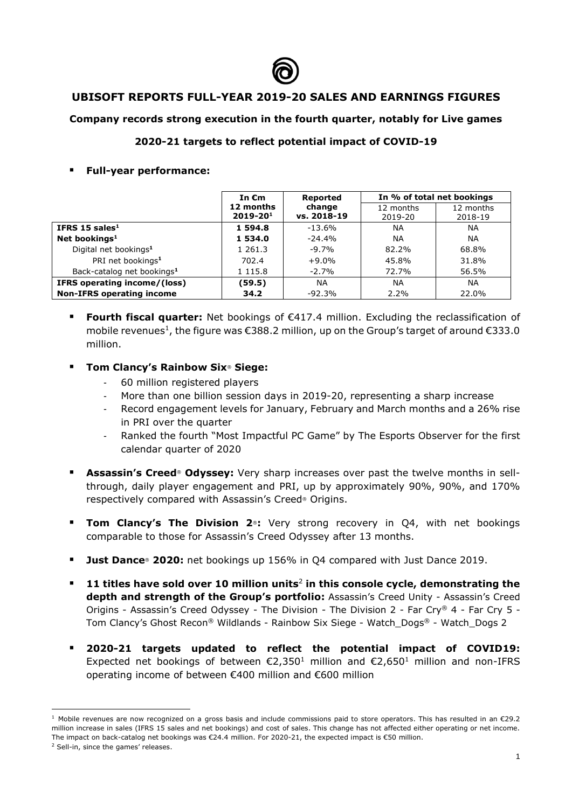

# **UBISOFT REPORTS FULL-YEAR 2019-20 SALES AND EARNINGS FIGURES**

# **Company records strong execution in the fourth quarter, notably for Live games**

# **2020-21 targets to reflect potential impact of COVID-19**

## ▪ **Full-year performance:**

|                                        | In $\epsilon$ m           | <b>Reported</b>       | In % of total net bookings |                      |  |
|----------------------------------------|---------------------------|-----------------------|----------------------------|----------------------|--|
|                                        | 12 months<br>$2019 - 201$ | change<br>vs. 2018-19 | 12 months<br>2019-20       | 12 months<br>2018-19 |  |
| IFRS 15 sales $1$                      | 1 594.8                   | $-13.6%$              | <b>NA</b>                  | <b>NA</b>            |  |
| Net bookings $1$                       | 1 534.0                   | $-24.4%$              | NА                         | NA.                  |  |
| Digital net bookings <sup>1</sup>      | 1 261.3                   | $-9.7%$               | 82.2%                      | 68.8%                |  |
| PRI net bookings <sup>1</sup>          | 702.4                     | $+9.0%$               | 45.8%                      | 31.8%                |  |
| Back-catalog net bookings <sup>1</sup> | 1 1 1 5 . 8               | $-2.7%$               | 72.7%                      | 56.5%                |  |
| IFRS operating income/(loss)           | (59.5)                    | <b>NA</b>             | NА                         | <b>NA</b>            |  |
| <b>Non-IFRS operating income</b>       | 34.2                      | $-92.3%$              | 2.2%                       | 22.0%                |  |

■ **Fourth fiscal quarter:** Net bookings of €417.4 million. Excluding the reclassification of mobile revenues<sup>1</sup>, the figure was  $\epsilon$ 388.2 million, up on the Group's target of around  $\epsilon$ 333.0 million.

## ▪ **Tom Clancy's Rainbow Six**® **Siege:**

- 60 million registered players
- More than one billion session days in 2019-20, representing a sharp increase
- Record engagement levels for January, February and March months and a 26% rise in PRI over the quarter
- Ranked the fourth "Most Impactful PC Game" by The Esports Observer for the first calendar quarter of 2020
- **EXTERS Assassin's Creed<sup>®</sup> Odyssey:** Very sharp increases over past the twelve months in sellthrough, daily player engagement and PRI, up by approximately 90%, 90%, and 170% respectively compared with Assassin's Creed® Origins.
- **Tom Clancy's The Division 2**®**:** Very strong recovery in Q4, with net bookings comparable to those for Assassin's Creed Odyssey after 13 months.
- **Just Dance**® **2020:** net bookings up 156% in Q4 compared with Just Dance 2019.
- 11 titles have sold over 10 million units<sup>2</sup> in this console cycle, demonstrating the **depth and strength of the Group's portfolio:** Assassin's Creed Unity - Assassin's Creed Origins - Assassin's Creed Odyssey - The Division - The Division 2 - Far Cry® 4 - Far Cry 5 -Tom Clancy's Ghost Recon® Wildlands - Rainbow Six Siege - Watch\_Dogs® - Watch\_Dogs 2
- **2020-21 targets updated to reflect the potential impact of COVID19:** Expected net bookings of between  $\epsilon$ 2,350<sup>1</sup> million and  $\epsilon$ 2,650<sup>1</sup> million and non-IFRS operating income of between €400 million and €600 million

<sup>&</sup>lt;sup>1</sup> Mobile revenues are now recognized on a gross basis and include commissions paid to store operators. This has resulted in an  $\epsilon$ 29.2 million increase in sales (IFRS 15 sales and net bookings) and cost of sales. This change has not affected either operating or net income. The impact on back-catalog net bookings was €24.4 million. For 2020-21, the expected impact is €50 million.

<sup>2</sup> Sell-in, since the games' releases.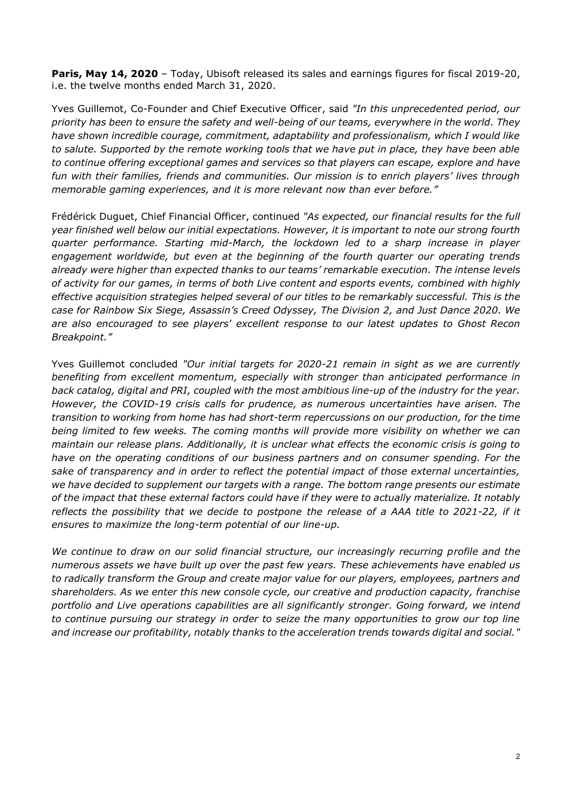**Paris, May 14, 2020** – Today, Ubisoft released its sales and earnings figures for fiscal 2019-20, i.e. the twelve months ended March 31, 2020.

Yves Guillemot, Co-Founder and Chief Executive Officer, said *"In this unprecedented period, our priority has been to ensure the safety and well-being of our teams, everywhere in the world. They have shown incredible courage, commitment, adaptability and professionalism, which I would like to salute. Supported by the remote working tools that we have put in place, they have been able to continue offering exceptional games and services so that players can escape, explore and have fun with their families, friends and communities. Our mission is to enrich players' lives through memorable gaming experiences, and it is more relevant now than ever before."*

Frédérick Duguet, Chief Financial Officer, continued *"As expected, our financial results for the full year finished well below our initial expectations. However, it is important to note our strong fourth quarter performance. Starting mid-March, the lockdown led to a sharp increase in player engagement worldwide, but even at the beginning of the fourth quarter our operating trends already were higher than expected thanks to our teams' remarkable execution. The intense levels of activity for our games, in terms of both Live content and esports events, combined with highly effective acquisition strategies helped several of our titles to be remarkably successful. This is the case for Rainbow Six Siege, Assassin's Creed Odyssey, The Division 2, and Just Dance 2020. We are also encouraged to see players' excellent response to our latest updates to Ghost Recon Breakpoint."*

Yves Guillemot concluded *"Our initial targets for 2020-21 remain in sight as we are currently benefiting from excellent momentum, especially with stronger than anticipated performance in back catalog, digital and PRI, coupled with the most ambitious line-up of the industry for the year. However, the COVID-19 crisis calls for prudence, as numerous uncertainties have arisen. The transition to working from home has had short-term repercussions on our production, for the time being limited to few weeks. The coming months will provide more visibility on whether we can maintain our release plans. Additionally, it is unclear what effects the economic crisis is going to have on the operating conditions of our business partners and on consumer spending. For the sake of transparency and in order to reflect the potential impact of those external uncertainties, we have decided to supplement our targets with a range. The bottom range presents our estimate of the impact that these external factors could have if they were to actually materialize. It notably reflects the possibility that we decide to postpone the release of a AAA title to 2021-22, if it ensures to maximize the long-term potential of our line-up.*

*We continue to draw on our solid financial structure, our increasingly recurring profile and the numerous assets we have built up over the past few years. These achievements have enabled us to radically transform the Group and create major value for our players, employees, partners and shareholders. As we enter this new console cycle, our creative and production capacity, franchise portfolio and Live operations capabilities are all significantly stronger. Going forward, we intend to continue pursuing our strategy in order to seize the many opportunities to grow our top line and increase our profitability, notably thanks to the acceleration trends towards digital and social."*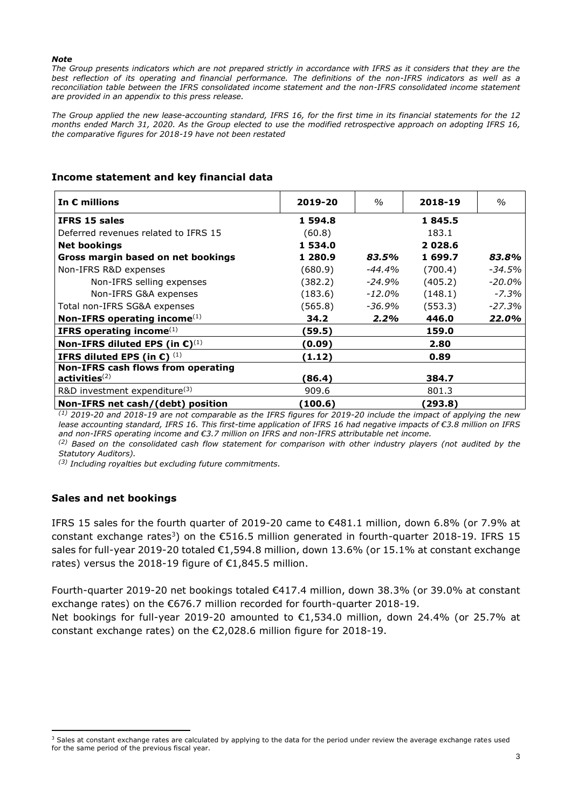#### *Note*

*The Group presents indicators which are not prepared strictly in accordance with IFRS as it considers that they are the best reflection of its operating and financial performance. The definitions of the non-IFRS indicators as well as a reconciliation table between the IFRS consolidated income statement and the non-IFRS consolidated income statement are provided in an appendix to this press release.*

*The Group applied the new lease-accounting standard, IFRS 16, for the first time in its financial statements for the 12 months ended March 31, 2020. As the Group elected to use the modified retrospective approach on adopting IFRS 16, the comparative figures for 2018-19 have not been restated*

## **Income statement and key financial data**

| In $\epsilon$ millions                                 | 2019-20 | $\%$   | 2018-19 | $\frac{1}{2}$ |
|--------------------------------------------------------|---------|--------|---------|---------------|
| IFRS 15 sales                                          | 1 594.8 |        | 1845.5  |               |
| Deferred revenues related to IFRS 15                   | (60.8)  |        | 183.1   |               |
| <b>Net bookings</b>                                    | 1 534.0 |        | 2028.6  |               |
| Gross margin based on net bookings                     | 1 280.9 | 83.5%  | 1 699.7 | 83.8%         |
| Non-IFRS R&D expenses                                  | (680.9) | -44.4% | (700.4) | -34.5%        |
| Non-IFRS selling expenses                              | (382.2) | -24.9% | (405.2) | $-20.0\%$     |
| Non-IFRS G&A expenses                                  | (183.6) | -12.0% | (148.1) | $-7.3\%$      |
| Total non-IFRS SG&A expenses                           | (565.8) | -36.9% | (553.3) | $-27.3%$      |
| Non-IFRS operating income $(1)$                        | 34.2    | 2.2%   | 446.0   | 22.0%         |
| <b>IFRS operating income</b> $(1)$                     | (59.5)  |        | 159.0   |               |
| Non-IFRS diluted EPS (in $\mathbb{C}$ ) <sup>(1)</sup> | (0.09)  |        | 2.80    |               |
| IFRS diluted EPS (in $\epsilon$ ) (1)                  | (1.12)  |        | 0.89    |               |
| Non-IFRS cash flows from operating                     |         |        |         |               |
| $activeities^{(2)}$                                    | (86.4)  |        | 384.7   |               |
| R&D investment expenditure <sup>(3)</sup>              | 909.6   |        | 801.3   |               |
| Non-IFRS net cash/(debt) position                      | (100.6) |        | (293.8) |               |

*(1) 2019-20 and 2018-19 are not comparable as the IFRS figures for 2019-20 include the impact of applying the new lease accounting standard, IFRS 16. This first-time application of IFRS 16 had negative impacts of €3.8 million on IFRS and non-IFRS operating income and €3.7 million on IFRS and non-IFRS attributable net income.*

*(2) Based on the consolidated cash flow statement for comparison with other industry players (not audited by the Statutory Auditors).*

*(3) Including royalties but excluding future commitments.*

## **Sales and net bookings**

IFRS 15 sales for the fourth quarter of 2019-20 came to  $\epsilon$ 481.1 million, down 6.8% (or 7.9% at constant exchange rates<sup>3</sup>) on the  $\epsilon$ 516.5 million generated in fourth-quarter 2018-19. IFRS 15 sales for full-year 2019-20 totaled €1,594.8 million, down 13.6% (or 15.1% at constant exchange rates) versus the 2018-19 figure of €1,845.5 million.

Fourth-quarter 2019-20 net bookings totaled €417.4 million, down 38.3% (or 39.0% at constant exchange rates) on the €676.7 million recorded for fourth-quarter 2018-19.

Net bookings for full-year 2019-20 amounted to €1,534.0 million, down 24.4% (or 25.7% at constant exchange rates) on the €2,028.6 million figure for 2018-19.

<sup>&</sup>lt;sup>3</sup> Sales at constant exchange rates are calculated by applying to the data for the period under review the average exchange rates used for the same period of the previous fiscal year.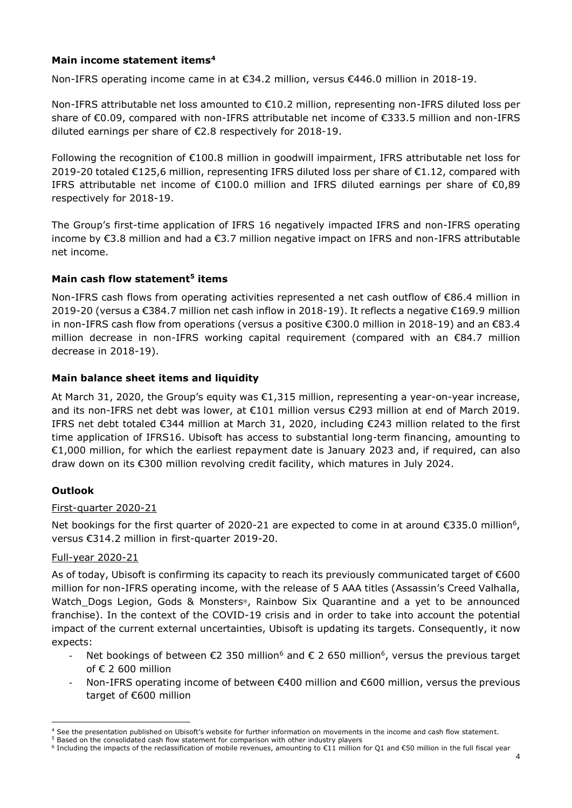## **Main income statement items<sup>4</sup>**

Non-IFRS operating income came in at €34.2 million, versus €446.0 million in 2018-19.

Non-IFRS attributable net loss amounted to €10.2 million, representing non-IFRS diluted loss per share of €0.09, compared with non-IFRS attributable net income of €333.5 million and non-IFRS diluted earnings per share of €2.8 respectively for 2018-19.

Following the recognition of €100.8 million in goodwill impairment, IFRS attributable net loss for 2019-20 totaled €125,6 million, representing IFRS diluted loss per share of €1.12, compared with IFRS attributable net income of €100.0 million and IFRS diluted earnings per share of €0,89 respectively for 2018-19.

The Group's first-time application of IFRS 16 negatively impacted IFRS and non-IFRS operating income by €3.8 million and had a €3.7 million negative impact on IFRS and non-IFRS attributable net income.

## **Main cash flow statement<sup>5</sup> items**

Non-IFRS cash flows from operating activities represented a net cash outflow of €86.4 million in 2019-20 (versus a €384.7 million net cash inflow in 2018-19). It reflects a negative €169.9 million in non-IFRS cash flow from operations (versus a positive €300.0 million in 2018-19) and an €83.4 million decrease in non-IFRS working capital requirement (compared with an €84.7 million decrease in 2018-19).

# **Main balance sheet items and liquidity**

At March 31, 2020, the Group's equity was €1,315 million, representing a year-on-year increase, and its non-IFRS net debt was lower, at €101 million versus €293 million at end of March 2019. IFRS net debt totaled €344 million at March 31, 2020, including €243 million related to the first time application of IFRS16. Ubisoft has access to substantial long-term financing, amounting to €1,000 million, for which the earliest repayment date is January 2023 and, if required, can also draw down on its €300 million revolving credit facility, which matures in July 2024.

## **Outlook**

## First-quarter 2020-21

Net bookings for the first quarter of 2020-21 are expected to come in at around  $\epsilon$ 335.0 million<sup>6</sup>, versus €314.2 million in first-quarter 2019-20.

## Full-year 2020-21

As of today, Ubisoft is confirming its capacity to reach its previously communicated target of €600 million for non-IFRS operating income, with the release of 5 AAA titles (Assassin's Creed Valhalla, Watch Dogs Legion, Gods & Monsters®, Rainbow Six Quarantine and a yet to be announced franchise). In the context of the COVID-19 crisis and in order to take into account the potential impact of the current external uncertainties, Ubisoft is updating its targets. Consequently, it now expects:

- Net bookings of between €2 350 million<sup>6</sup> and € 2 650 million<sup>6</sup>, versus the previous target of  $\epsilon$  2 600 million
- Non-IFRS operating income of between €400 million and €600 million, versus the previous target of €600 million

<sup>&</sup>lt;sup>4</sup> See the presentation published on Ubisoft's website for further information on movements in the income and cash flow statement.

<sup>&</sup>lt;sup>5</sup> Based on the consolidated cash flow statement for comparison with other industry players

<sup>&</sup>lt;sup>6</sup> Including the impacts of the reclassification of mobile revenues, amounting to €11 million for Q1 and €50 million in the full fiscal year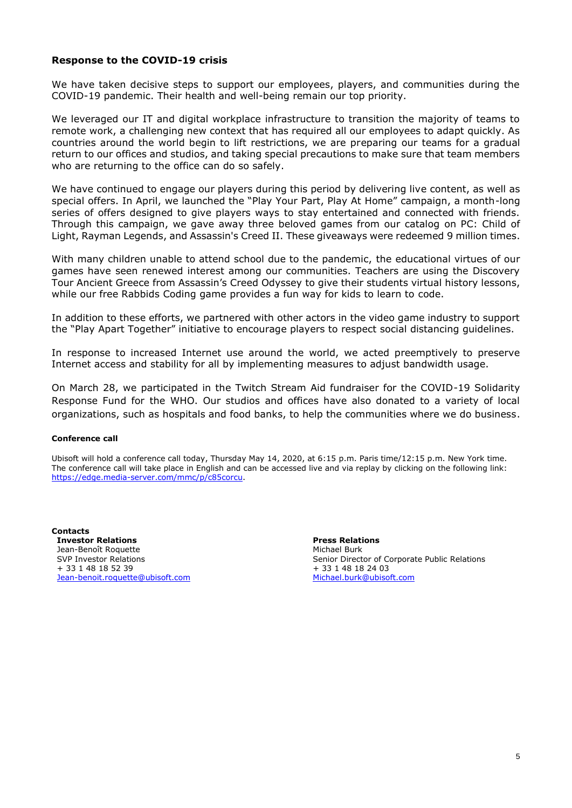## **Response to the COVID-19 crisis**

We have taken decisive steps to support our employees, players, and communities during the COVID-19 pandemic. Their health and well-being remain our top priority.

We leveraged our IT and digital workplace infrastructure to transition the majority of teams to remote work, a challenging new context that has required all our employees to adapt quickly. As countries around the world begin to lift restrictions, we are preparing our teams for a gradual return to our offices and studios, and taking special precautions to make sure that team members who are returning to the office can do so safely.

We have continued to engage our players during this period by delivering live content, as well as special offers. In April, we launched the "Play Your Part, Play At Home" campaign, a month-long series of offers designed to give players ways to stay entertained and connected with friends. Through this campaign, we gave away three beloved games from our catalog on PC: Child of Light, Rayman Legends, and Assassin's Creed II. These giveaways were redeemed 9 million times.

With many children unable to attend school due to the pandemic, the educational virtues of our games have seen renewed interest among our communities. Teachers are using the Discovery Tour Ancient Greece from Assassin's Creed Odyssey to give their students virtual history lessons, while our free Rabbids Coding game provides a fun way for kids to learn to code.

In addition to these efforts, we partnered with other actors in the video game industry to support the "Play Apart Together" initiative to encourage players to respect social distancing guidelines.

In response to increased Internet use around the world, we acted preemptively to preserve Internet access and stability for all by implementing measures to adjust bandwidth usage.

On March 28, we participated in the Twitch Stream Aid fundraiser for the COVID-19 Solidarity Response Fund for the WHO. Our studios and offices have also donated to a variety of local organizations, such as hospitals and food banks, to help the communities where we do business.

#### **Conference call**

Ubisoft will hold a conference call today, Thursday May 14, 2020, at 6:15 p.m. Paris time/12:15 p.m. New York time. The conference call will take place in English and can be accessed live and via replay by clicking on the following link: [https://edge.media-server.com/mmc/p/c85corcu.](https://edge.media-server.com/mmc/p/c85corcu)

**Contacts Investor Relations** Jean-Benoît Roquette SVP Investor Relations + 33 1 48 18 52 39 [Jean-benoit.roquette@ubisoft.com](mailto:Jean-benoit.roquette@ubisoft.com)

**Press Relations**  Michael Burk Senior Director of Corporate Public Relations + 33 1 48 18 24 03 Michael.burk@ubisoft.com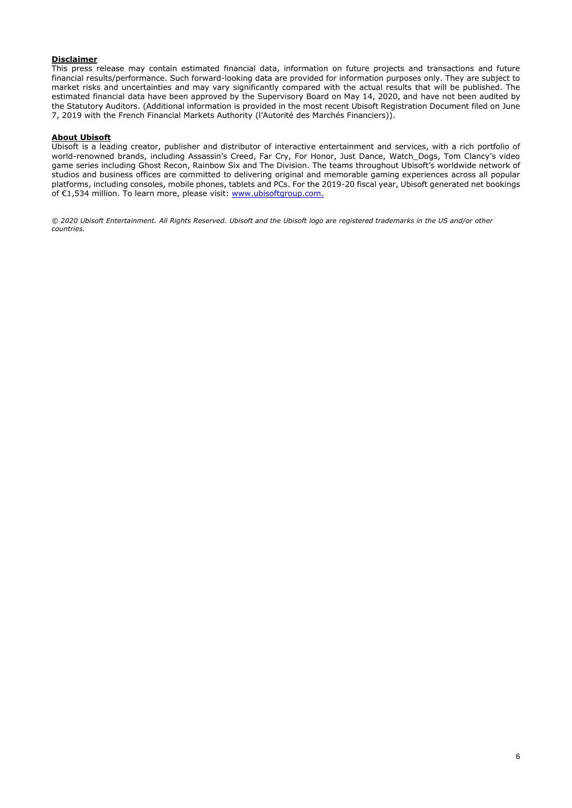#### **Disclaimer**

This press release may contain estimated financial data, information on future projects and transactions and future financial results/performance. Such forward-looking data are provided for information purposes only. They are subject to market risks and uncertainties and may vary significantly compared with the actual results that will be published. The estimated financial data have been approved by the Supervisory Board on May 14, 2020, and have not been audited by the Statutory Auditors. (Additional information is provided in the most recent Ubisoft Registration Document filed on June 7, 2019 with the French Financial Markets Authority (l'Autorité des Marchés Financiers)).

#### **About Ubisoft**

Ubisoft is a leading creator, publisher and distributor of interactive entertainment and services, with a rich portfolio of world-renowned brands, including Assassin's Creed, Far Cry, For Honor, Just Dance, Watch\_Dogs, Tom Clancy's video game series including Ghost Recon, Rainbow Six and The Division. The teams throughout Ubisoft's worldwide network of studios and business offices are committed to delivering original and memorable gaming experiences across all popular platforms, including consoles, mobile phones, tablets and PCs. For the 2019-20 fiscal year, Ubisoft generated net bookings of €1,534 million. To learn more, please visit: www.ubisoftgroup.com.

*© 2020 Ubisoft Entertainment. All Rights Reserved. Ubisoft and the Ubisoft logo are registered trademarks in the US and/or other countries.*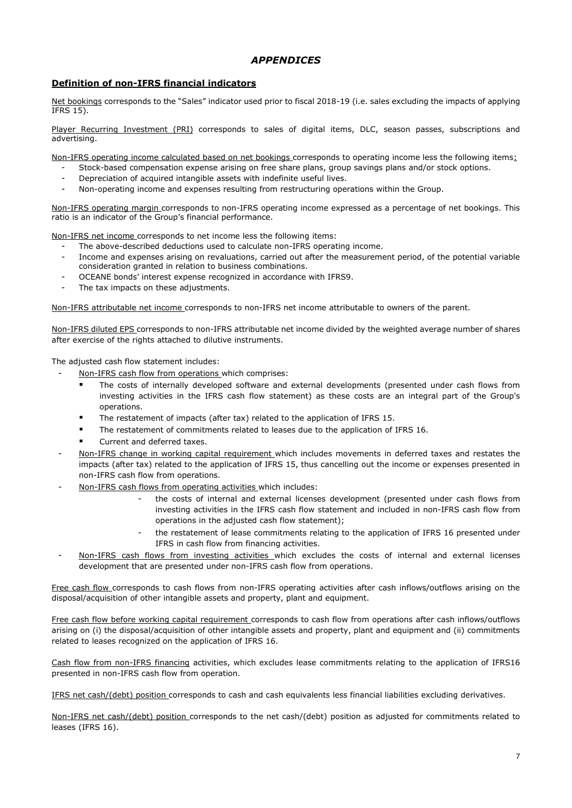## *APPENDICES*

### **Definition of non-IFRS financial indicators**

Net bookings corresponds to the "Sales" indicator used prior to fiscal 2018-19 (i.e. sales excluding the impacts of applying IFRS 15).

Player Recurring Investment (PRI) corresponds to sales of digital items, DLC, season passes, subscriptions and advertising.

Non-IFRS operating income calculated based on net bookings corresponds to operating income less the following items:

- Stock-based compensation expense arising on free share plans, group savings plans and/or stock options.
- Depreciation of acquired intangible assets with indefinite useful lives.
- Non-operating income and expenses resulting from restructuring operations within the Group.

Non-IFRS operating margin corresponds to non-IFRS operating income expressed as a percentage of net bookings. This ratio is an indicator of the Group's financial performance.

Non-IFRS net income corresponds to net income less the following items:

- The above-described deductions used to calculate non-IFRS operating income.
- Income and expenses arising on revaluations, carried out after the measurement period, of the potential variable consideration granted in relation to business combinations.
- OCEANE bonds' interest expense recognized in accordance with IFRS9.
- The tax impacts on these adjustments.

Non-IFRS attributable net income corresponds to non-IFRS net income attributable to owners of the parent.

Non-IFRS diluted EPS corresponds to non-IFRS attributable net income divided by the weighted average number of shares after exercise of the rights attached to dilutive instruments.

The adjusted cash flow statement includes:

- Non-IFRS cash flow from operations which comprises:
	- The costs of internally developed software and external developments (presented under cash flows from investing activities in the IFRS cash flow statement) as these costs are an integral part of the Group's operations.
	- The restatement of impacts (after tax) related to the application of IFRS 15.
	- The restatement of commitments related to leases due to the application of IFRS 16.
	- Current and deferred taxes.
- Non-IFRS change in working capital requirement which includes movements in deferred taxes and restates the impacts (after tax) related to the application of IFRS 15, thus cancelling out the income or expenses presented in non-IFRS cash flow from operations.
- Non-IFRS cash flows from operating activities which includes:
	- the costs of internal and external licenses development (presented under cash flows from investing activities in the IFRS cash flow statement and included in non-IFRS cash flow from operations in the adjusted cash flow statement);
	- the restatement of lease commitments relating to the application of IFRS 16 presented under IFRS in cash flow from financing activities.
- Non-IFRS cash flows from investing activities which excludes the costs of internal and external licenses development that are presented under non-IFRS cash flow from operations.

Free cash flow corresponds to cash flows from non-IFRS operating activities after cash inflows/outflows arising on the disposal/acquisition of other intangible assets and property, plant and equipment.

Free cash flow before working capital requirement corresponds to cash flow from operations after cash inflows/outflows arising on (i) the disposal/acquisition of other intangible assets and property, plant and equipment and (ii) commitments related to leases recognized on the application of IFRS 16.

Cash flow from non-IFRS financing activities, which excludes lease commitments relating to the application of IFRS16 presented in non-IFRS cash flow from operation.

IFRS net cash/(debt) position corresponds to cash and cash equivalents less financial liabilities excluding derivatives.

Non-IFRS net cash/(debt) position corresponds to the net cash/(debt) position as adjusted for commitments related to leases (IFRS 16).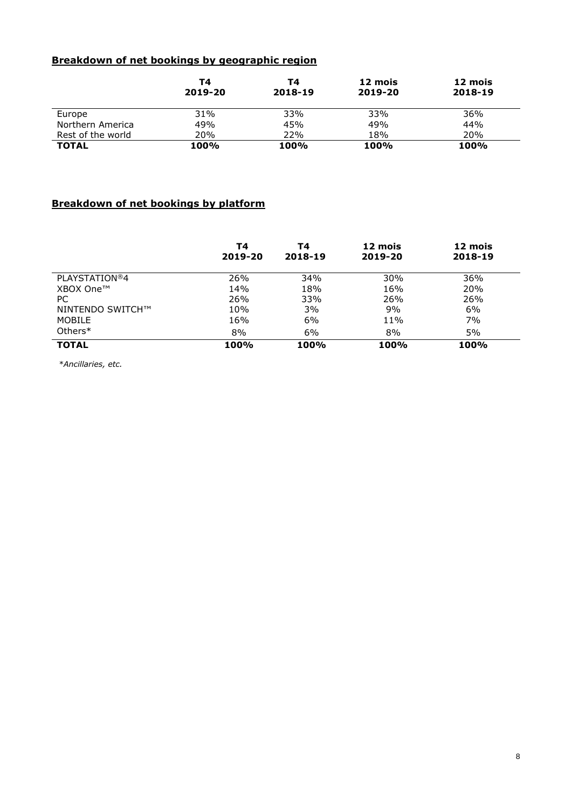# **Breakdown of net bookings by geographic region**

|                   | Т4<br>2019-20 | Τ4<br>2018-19 | 12 mois<br>2019-20 | 12 mois<br>2018-19 |
|-------------------|---------------|---------------|--------------------|--------------------|
| Europe            | 31%           | 33%           | 33%                | 36%                |
| Northern America  | 49%           | 45%           | 49%                | 44%                |
| Rest of the world | 20%           | 22%           | 18%                | 20%                |
| <b>TOTAL</b>      | 100%          | 100%          | 100%               | 100%               |

# **Breakdown of net bookings by platform**

|                           | T4<br>2019-20 | T4<br>2018-19 | 12 mois<br>2019-20 | 12 mois<br>2018-19 |
|---------------------------|---------------|---------------|--------------------|--------------------|
| PLAYSTATION <sup>®4</sup> | 26%           | 34%           | 30%                | 36%                |
| XBOX One™                 | 14%           | 18%           | 16%                | 20%                |
| PC.                       | 26%           | 33%           | 26%                | 26%                |
| NINTENDO SWITCH™          | 10%           | 3%            | 9%                 | 6%                 |
| <b>MOBILE</b>             | 16%           | 6%            | 11%                | 7%                 |
| Others $*$                | 8%            | 6%            | 8%                 | 5%                 |
| <b>TOTAL</b>              | 100%          | 100%          | 100%               | 100%               |

*\*Ancillaries, etc.*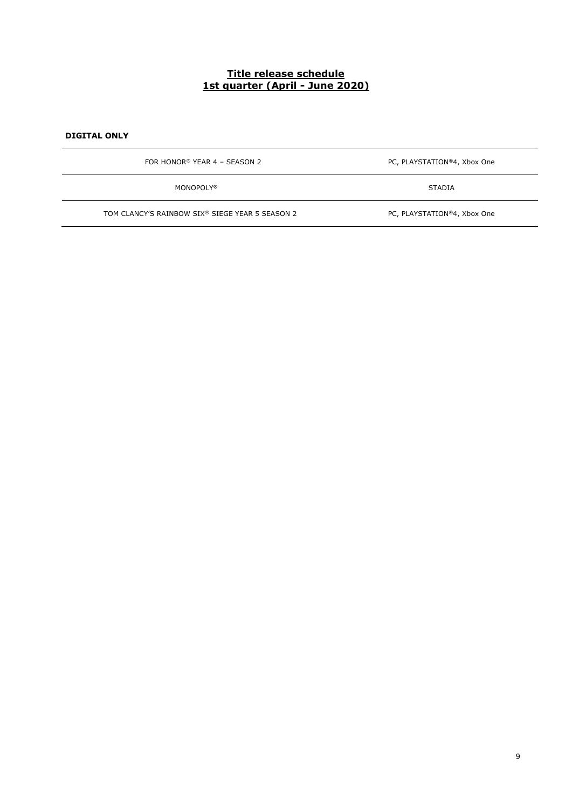## **Title release schedule 1st quarter (April - June 2020)**

**DIGITAL ONLY**

FOR HONOR® YEAR 4 - SEASON 2 PC, PLAYSTATION®4, Xbox One

MONOPOLY<sup>®</sup> STADIA

TOM CLANCY'S RAINBOW SIX® SIEGE YEAR 5 SEASON 2 PC, PLAYSTATION®4, Xbox One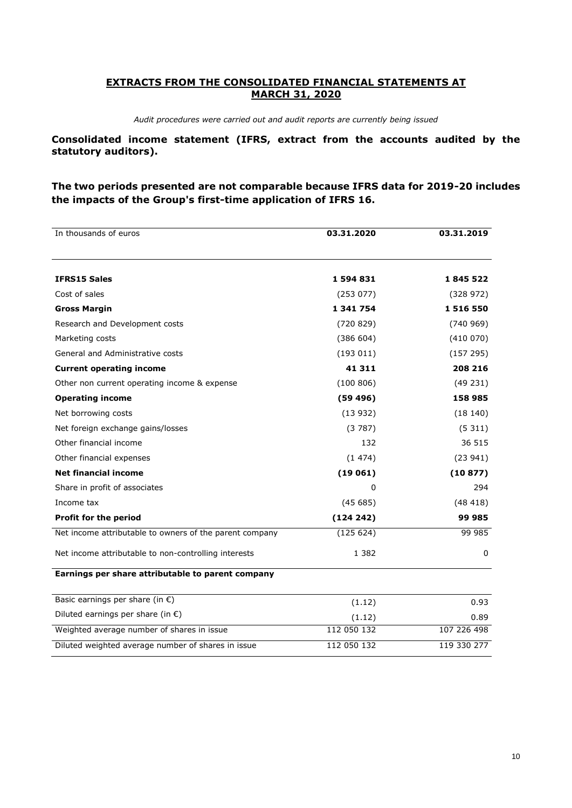## **EXTRACTS FROM THE CONSOLIDATED FINANCIAL STATEMENTS AT MARCH 31, 2020**

*Audit procedures were carried out and audit reports are currently being issued*

**Consolidated income statement (IFRS, extract from the accounts audited by the statutory auditors).**

**The two periods presented are not comparable because IFRS data for 2019-20 includes the impacts of the Group's first-time application of IFRS 16.**

| In thousands of euros                                   | 03.31.2020  | 03.31.2019  |
|---------------------------------------------------------|-------------|-------------|
|                                                         |             |             |
| <b>IFRS15 Sales</b>                                     | 1 594 831   | 1845522     |
| Cost of sales                                           | (253 077)   | (328972)    |
| <b>Gross Margin</b>                                     | 1 341 754   | 1516550     |
| Research and Development costs                          | (720 829)   | (740969)    |
| Marketing costs                                         | (386 604)   | (410070)    |
| General and Administrative costs                        | (193011)    | (157 295)   |
| <b>Current operating income</b>                         | 41 311      | 208 216     |
| Other non current operating income & expense            | (100 806)   | (49 231)    |
| <b>Operating income</b>                                 | (59 496)    | 158 985     |
| Net borrowing costs                                     | (13932)     | (18140)     |
| Net foreign exchange gains/losses                       | (3787)      | (5311)      |
| Other financial income                                  | 132         | 36 515      |
| Other financial expenses                                | (1474)      | (23941)     |
| <b>Net financial income</b>                             | (19061)     | (10877)     |
| Share in profit of associates                           | $\Omega$    | 294         |
| Income tax                                              | (45685)     | (48418)     |
| <b>Profit for the period</b>                            | (124 242)   | 99 985      |
| Net income attributable to owners of the parent company | (125 624)   | 99 985      |
| Net income attributable to non-controlling interests    | 1 382       | 0           |
| Earnings per share attributable to parent company       |             |             |
| Basic earnings per share (in $\epsilon$ )               | (1.12)      | 0.93        |
| Diluted earnings per share (in $\epsilon$ )             | (1.12)      | 0.89        |
| Weighted average number of shares in issue              | 112 050 132 | 107 226 498 |
| Diluted weighted average number of shares in issue      | 112 050 132 | 119 330 277 |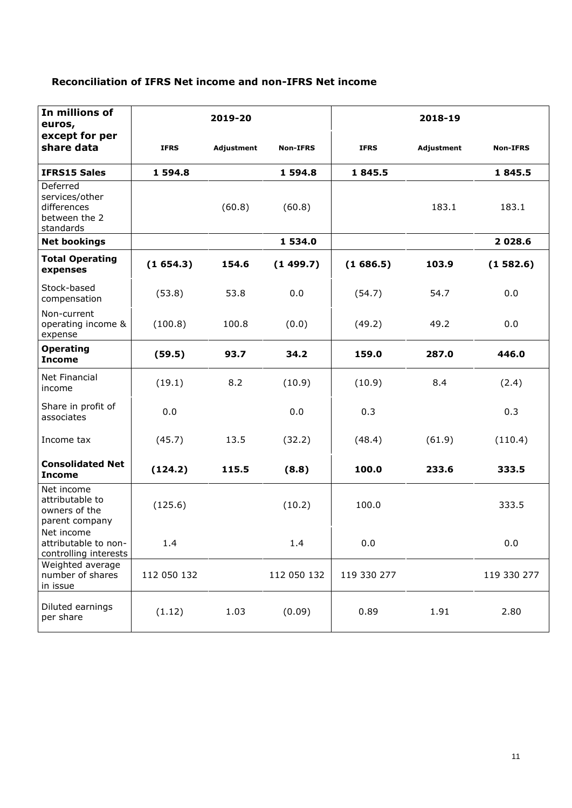# **Reconciliation of IFRS Net income and non-IFRS Net income**

| In millions of<br>euros,                                                |             | 2019-20    |                 |             | 2018-19    |                 |
|-------------------------------------------------------------------------|-------------|------------|-----------------|-------------|------------|-----------------|
| except for per<br>share data                                            | <b>IFRS</b> | Adjustment | <b>Non-IFRS</b> | <b>IFRS</b> | Adjustment | <b>Non-IFRS</b> |
| <b>IFRS15 Sales</b>                                                     | 1 594.8     |            | 1 594.8         | 1845.5      |            | 1845.5          |
| Deferred<br>services/other<br>differences<br>between the 2<br>standards |             | (60.8)     | (60.8)          |             | 183.1      | 183.1           |
| <b>Net bookings</b>                                                     |             |            | 1 534.0         |             |            | 2 0 2 8 . 6     |
| <b>Total Operating</b><br>expenses                                      | (1654.3)    | 154.6      | (1499.7)        | (1686.5)    | 103.9      | (1582.6)        |
| Stock-based<br>compensation                                             | (53.8)      | 53.8       | 0.0             | (54.7)      | 54.7       | 0.0             |
| Non-current<br>operating income &<br>expense                            | (100.8)     | 100.8      | (0.0)           | (49.2)      | 49.2       | 0.0             |
| <b>Operating</b><br><b>Income</b>                                       | (59.5)      | 93.7       | 34.2            | 159.0       | 287.0      | 446.0           |
| Net Financial<br>income                                                 | (19.1)      | 8.2        | (10.9)          | (10.9)      | 8.4        | (2.4)           |
| Share in profit of<br>associates                                        | 0.0         |            | 0.0             | 0.3         |            | 0.3             |
| Income tax                                                              | (45.7)      | 13.5       | (32.2)          | (48.4)      | (61.9)     | (110.4)         |
| <b>Consolidated Net</b><br><b>Income</b>                                | (124.2)     | 115.5      | (8.8)           | 100.0       | 233.6      | 333.5           |
| Net income<br>attributable to<br>owners of the<br>parent company        | (125.6)     |            | (10.2)          | 100.0       |            | 333.5           |
| Net income<br>attributable to non-<br>controlling interests             | 1.4         |            | 1.4             | 0.0         |            | 0.0             |
| Weighted average<br>number of shares<br>in issue                        | 112 050 132 |            | 112 050 132     | 119 330 277 |            | 119 330 277     |
| Diluted earnings<br>per share                                           | (1.12)      | 1.03       | (0.09)          | 0.89        | 1.91       | 2.80            |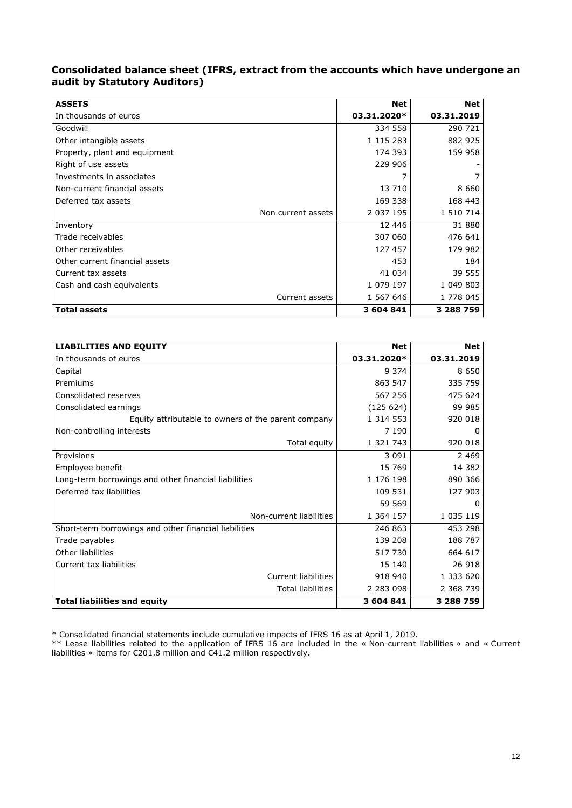## **Consolidated balance sheet (IFRS, extract from the accounts which have undergone an audit by Statutory Auditors)**

| <b>ASSETS</b>                  | <b>Net</b>  | <b>Net</b> |
|--------------------------------|-------------|------------|
| In thousands of euros          | 03.31.2020* | 03.31.2019 |
| Goodwill                       | 334 558     | 290 721    |
| Other intangible assets        | 1 115 283   | 882 925    |
| Property, plant and equipment  | 174 393     | 159 958    |
| Right of use assets            | 229 906     |            |
| Investments in associates      |             |            |
| Non-current financial assets   | 13 710      | 8 6 6 0    |
| Deferred tax assets            | 169 338     | 168 443    |
| Non current assets             | 2 037 195   | 1 510 714  |
| Inventory                      | 12 446      | 31 880     |
| Trade receivables              | 307 060     | 476 641    |
| Other receivables              | 127 457     | 179 982    |
| Other current financial assets | 453         | 184        |
| Current tax assets             | 41 0 34     | 39 555     |
| Cash and cash equivalents      | 1 079 197   | 1 049 803  |
| Current assets                 | 1 567 646   | 1 778 045  |
| <b>Total assets</b>            | 3 604 841   | 3 288 759  |

| <b>LIABILITIES AND EQUITY</b>                         | <b>Net</b>  | <b>Net</b>    |
|-------------------------------------------------------|-------------|---------------|
| In thousands of euros                                 | 03.31.2020* | 03.31.2019    |
| Capital                                               | 9 3 7 4     | 8 6 5 0       |
| Premiums                                              | 863 547     | 335 759       |
| Consolidated reserves                                 | 567 256     | 475 624       |
| Consolidated earnings                                 | (125624)    | 99 985        |
| Equity attributable to owners of the parent company   | 1 314 553   | 920 018       |
| Non-controlling interests                             | 7 1 9 0     | $\Omega$      |
| Total equity                                          | 1 321 743   | 920 018       |
| Provisions                                            | 3 0 9 1     | 2 4 6 9       |
| Employee benefit                                      | 15 769      | 14 3 82       |
| Long-term borrowings and other financial liabilities  | 1 176 198   | 890 366       |
| Deferred tax liabilities                              | 109 531     | 127 903       |
|                                                       | 59 569      | $\Omega$      |
| Non-current liabilities                               | 1 364 157   | 1 0 3 5 1 1 9 |
| Short-term borrowings and other financial liabilities | 246 863     | 453 298       |
| Trade payables                                        | 139 208     | 188 787       |
| Other liabilities                                     | 517 730     | 664 617       |
| Current tax liabilities                               | 15 140      | 26 918        |
| <b>Current liabilities</b>                            | 918 940     | 1 333 620     |
| <b>Total liabilities</b>                              | 2 283 098   | 2 3 68 7 39   |
| <b>Total liabilities and equity</b>                   | 3 604 841   | 3 288 759     |

\* Consolidated financial statements include cumulative impacts of IFRS 16 as at April 1, 2019*.* 

\*\* Lease liabilities related to the application of IFRS 16 are included in the « Non-current liabilities » and « Current liabilities » items for €201.8 million and €41.2 million respectively.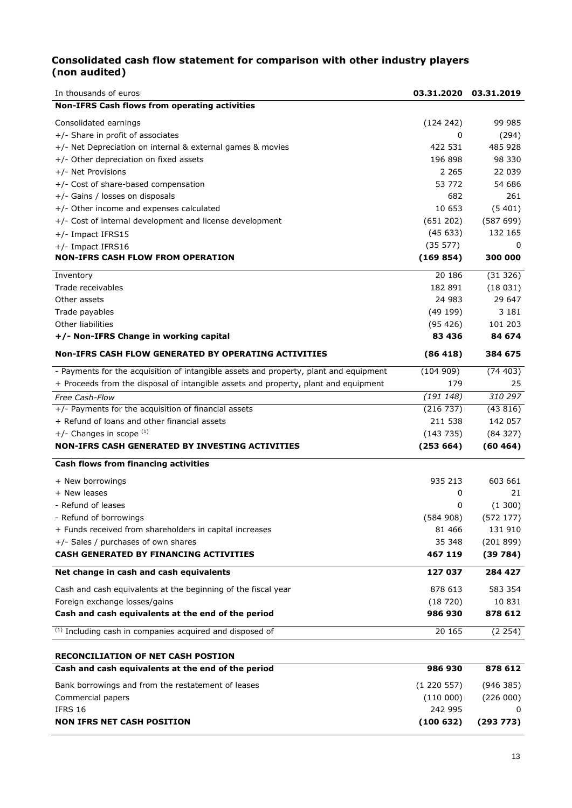## **Consolidated cash flow statement for comparison with other industry players (non audited)**

| In thousands of euros                                                                 | 03.31.2020  | 03.31.2019 |
|---------------------------------------------------------------------------------------|-------------|------------|
| <b>Non-IFRS Cash flows from operating activities</b>                                  |             |            |
| Consolidated earnings                                                                 | (124 242)   | 99 985     |
| +/- Share in profit of associates                                                     | 0           | (294)      |
| +/- Net Depreciation on internal & external games & movies                            | 422 531     | 485 928    |
| +/- Other depreciation on fixed assets                                                | 196 898     | 98 330     |
| +/- Net Provisions                                                                    | 2 2 6 5     | 22 039     |
| +/- Cost of share-based compensation                                                  | 53 772      | 54 686     |
| +/- Gains / losses on disposals                                                       | 682         | 261        |
| +/- Other income and expenses calculated                                              | 10 653      | (5401)     |
| +/- Cost of internal development and license development                              | (651 202)   | (587699)   |
| +/- Impact IFRS15                                                                     | (45633)     | 132 165    |
| +/- Impact IFRS16                                                                     | (35 577)    | 0          |
| <b>NON-IFRS CASH FLOW FROM OPERATION</b>                                              | (169854)    | 300 000    |
| Inventory                                                                             | 20 18 6     | (31326)    |
| Trade receivables                                                                     | 182 891     | (18031)    |
| Other assets                                                                          | 24 983      | 29 647     |
| Trade payables                                                                        | (49199)     | 3 181      |
| Other liabilities                                                                     | (95, 426)   | 101 203    |
| +/- Non-IFRS Change in working capital                                                | 83 436      | 84 674     |
| <b>Non-IFRS CASH FLOW GENERATED BY OPERATING ACTIVITIES</b>                           | (86418)     | 384 675    |
| - Payments for the acquisition of intangible assets and property, plant and equipment | (104909)    | (74403)    |
| + Proceeds from the disposal of intangible assets and property, plant and equipment   | 179         | 25         |
| <b>Free Cash-Flow</b>                                                                 | (191148)    | 310 297    |
| +/- Payments for the acquisition of financial assets                                  | (216 737)   | (43816)    |
| + Refund of loans and other financial assets                                          | 211 538     | 142 057    |
| $+/-$ Changes in scope $(1)$                                                          | (143735)    | (84327)    |
| <b>NON-IFRS CASH GENERATED BY INVESTING ACTIVITIES</b>                                | (253664)    | (60464)    |
| Cash flows from financing activities                                                  |             |            |
| + New borrowings                                                                      | 935 213     | 603 661    |
| + New leases                                                                          | 0           | 21         |
| - Refund of leases                                                                    | 0           | (1300)     |
| - Refund of borrowings                                                                | (584908)    | (572177)   |
| + Funds received from shareholders in capital increases                               | 81 466      | 131 910    |
| +/- Sales / purchases of own shares                                                   | 35 348      | (201899)   |
| <b>CASH GENERATED BY FINANCING ACTIVITIES</b>                                         | 467 119     | (39784)    |
| Net change in cash and cash equivalents                                               | 127 037     | 284 427    |
| Cash and cash equivalents at the beginning of the fiscal year                         | 878 613     | 583 354    |
| Foreign exchange losses/gains                                                         | (18720)     | 10 831     |
| Cash and cash equivalents at the end of the period                                    | 986 930     | 878 612    |
| <sup>(1)</sup> Including cash in companies acquired and disposed of                   | 20 165      | (2 254)    |
| <b>RECONCILIATION OF NET CASH POSTION</b>                                             |             |            |
| Cash and cash equivalents at the end of the period                                    | 986 930     | 878 612    |
| Bank borrowings and from the restatement of leases                                    | (1 220 557) | (946 385)  |
| Commercial papers                                                                     | (110000)    | (226000)   |
| IFRS 16                                                                               | 242 995     |            |
| <b>NON IFRS NET CASH POSITION</b>                                                     | (100632)    | (293773)   |